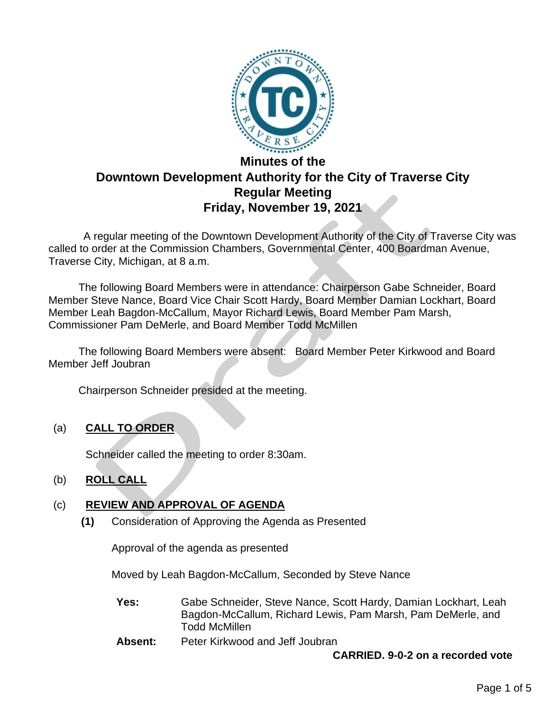

# **Minutes of the Downtown Development Authority for the City of Traverse City Regular Meeting Friday, November 19, 2021**

 A regular meeting of the Downtown Development Authority of the City of Traverse City was called to order at the Commission Chambers, Governmental Center, 400 Boardman Avenue, Traverse City, Michigan, at 8 a.m.

The following Board Members were in attendance: Chairperson Gabe Schneider, Board Member Steve Nance, Board Vice Chair Scott Hardy, Board Member Damian Lockhart, Board Member Leah Bagdon-McCallum, Mayor Richard Lewis, Board Member Pam Marsh, Commissioner Pam DeMerle, and Board Member Todd McMillen

 The following Board Members were absent: Board Member Peter Kirkwood and Board Member Jeff Joubran

Chairperson Schneider presided at the meeting.

(a) **CALL TO ORDER**

Schneider called the meeting to order 8:30am.

## (b) **ROLL CALL**

## (c) **REVIEW AND APPROVAL OF AGENDA**

**(1)** Consideration of Approving the Agenda as Presented

Approval of the agenda as presented

Moved by Leah Bagdon-McCallum, Seconded by Steve Nance

- **Yes:** Gabe Schneider, Steve Nance, Scott Hardy, Damian Lockhart, Leah Bagdon-McCallum, Richard Lewis, Pam Marsh, Pam DeMerle, and Todd McMillen
- **Absent:** Peter Kirkwood and Jeff Joubran

**CARRIED. 9-0-2 on a recorded vote**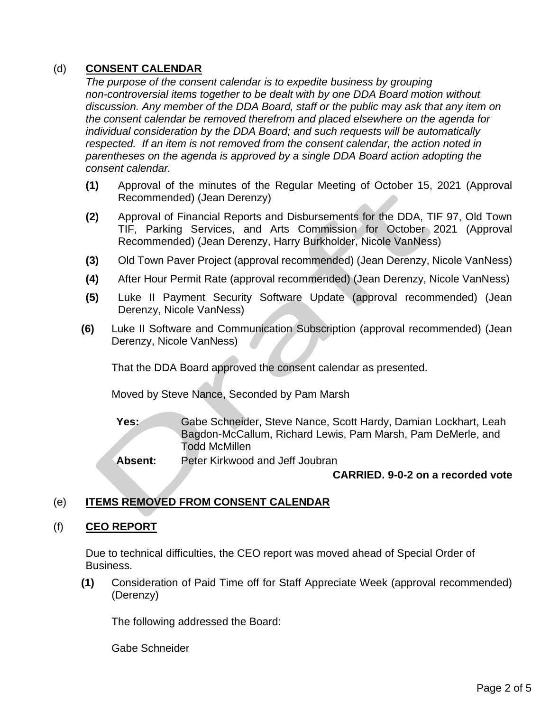## (d) **CONSENT CALENDAR**

*The purpose of the consent calendar is to expedite business by grouping non-controversial items together to be dealt with by one DDA Board motion without discussion. Any member of the DDA Board, staff or the public may ask that any item on the consent calendar be removed therefrom and placed elsewhere on the agenda for individual consideration by the DDA Board; and such requests will be automatically respected. If an item is not removed from the consent calendar, the action noted in parentheses on the agenda is approved by a single DDA Board action adopting the consent calendar.*

- **(1)** Approval of the minutes of the Regular Meeting of October 15, 2021 (Approval Recommended) (Jean Derenzy)
- **(2)** Approval of Financial Reports and Disbursements for the DDA, TIF 97, Old Town TIF, Parking Services, and Arts Commission for October 2021 (Approval Recommended) (Jean Derenzy, Harry Burkholder, Nicole VanNess)
- **(3)** Old Town Paver Project (approval recommended) (Jean Derenzy, Nicole VanNess)
- **(4)** After Hour Permit Rate (approval recommended) (Jean Derenzy, Nicole VanNess)
- **(5)** Luke II Payment Security Software Update (approval recommended) (Jean Derenzy, Nicole VanNess)
- **(6)** Luke II Software and Communication Subscription (approval recommended) (Jean Derenzy, Nicole VanNess)

That the DDA Board approved the consent calendar as presented.

Moved by Steve Nance, Seconded by Pam Marsh

**Yes:** Gabe Schneider, Steve Nance, Scott Hardy, Damian Lockhart, Leah Bagdon-McCallum, Richard Lewis, Pam Marsh, Pam DeMerle, and Todd McMillen

**Absent:** Peter Kirkwood and Jeff Joubran

### **CARRIED. 9-0-2 on a recorded vote**

## (e) **ITEMS REMOVED FROM CONSENT CALENDAR**

### (f) **CEO REPORT**

Due to technical difficulties, the CEO report was moved ahead of Special Order of Business.

**(1)** Consideration of Paid Time off for Staff Appreciate Week (approval recommended) (Derenzy)

The following addressed the Board:

Gabe Schneider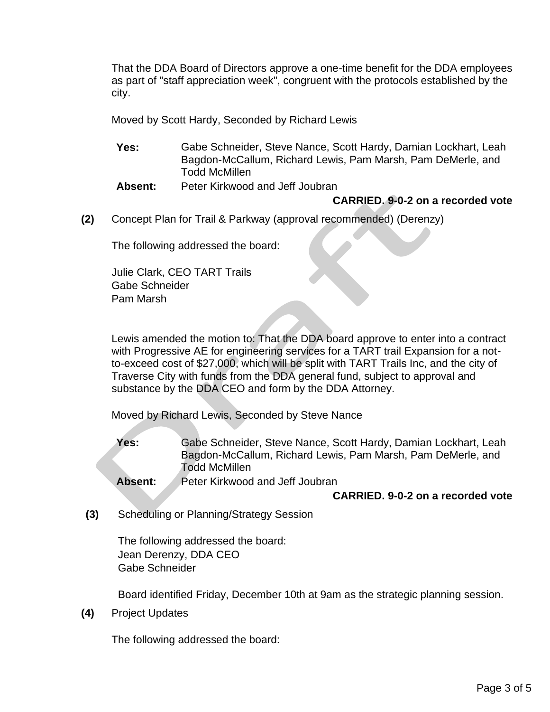That the DDA Board of Directors approve a one-time benefit for the DDA employees as part of "staff appreciation week", congruent with the protocols established by the city.

Moved by Scott Hardy, Seconded by Richard Lewis

- **Yes:** Gabe Schneider, Steve Nance, Scott Hardy, Damian Lockhart, Leah Bagdon-McCallum, Richard Lewis, Pam Marsh, Pam DeMerle, and Todd McMillen
- **Absent:** Peter Kirkwood and Jeff Joubran

#### **CARRIED. 9-0-2 on a recorded vote**

**(2)** Concept Plan for Trail & Parkway (approval recommended) (Derenzy)

The following addressed the board:

Julie Clark, CEO TART Trails Gabe Schneider Pam Marsh

Lewis amended the motion to: That the DDA board approve to enter into a contract with Progressive AE for engineering services for a TART trail Expansion for a notto-exceed cost of \$27,000, which will be split with TART Trails Inc, and the city of Traverse City with funds from the DDA general fund, subject to approval and substance by the DDA CEO and form by the DDA Attorney.

Moved by Richard Lewis, Seconded by Steve Nance

**Yes:** Gabe Schneider, Steve Nance, Scott Hardy, Damian Lockhart, Leah Bagdon-McCallum, Richard Lewis, Pam Marsh, Pam DeMerle, and Todd McMillen

**Absent:** Peter Kirkwood and Jeff Joubran

#### **CARRIED. 9-0-2 on a recorded vote**

**(3)** Scheduling or Planning/Strategy Session

The following addressed the board: Jean Derenzy, DDA CEO Gabe Schneider

Board identified Friday, December 10th at 9am as the strategic planning session.

**(4)** Project Updates

The following addressed the board: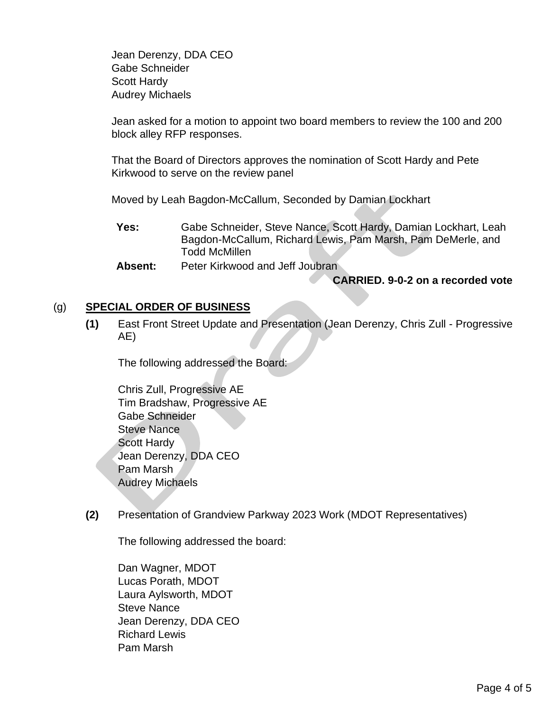Jean Derenzy, DDA CEO Gabe Schneider Scott Hardy Audrey Michaels

Jean asked for a motion to appoint two board members to review the 100 and 200 block alley RFP responses.

That the Board of Directors approves the nomination of Scott Hardy and Pete Kirkwood to serve on the review panel

Moved by Leah Bagdon-McCallum, Seconded by Damian Lockhart

**Yes:** Gabe Schneider, Steve Nance, Scott Hardy, Damian Lockhart, Leah Bagdon-McCallum, Richard Lewis, Pam Marsh, Pam DeMerle, and Todd McMillen

**Absent:** Peter Kirkwood and Jeff Joubran

#### **CARRIED. 9-0-2 on a recorded vote**

### (g) **SPECIAL ORDER OF BUSINESS**

**(1)** East Front Street Update and Presentation (Jean Derenzy, Chris Zull - Progressive AE)

The following addressed the Board:

Chris Zull, Progressive AE Tim Bradshaw, Progressive AE Gabe Schneider Steve Nance Scott Hardy Jean Derenzy, DDA CEO Pam Marsh Audrey Michaels

**(2)** Presentation of Grandview Parkway 2023 Work (MDOT Representatives)

The following addressed the board:

Dan Wagner, MDOT Lucas Porath, MDOT Laura Aylsworth, MDOT Steve Nance Jean Derenzy, DDA CEO Richard Lewis Pam Marsh